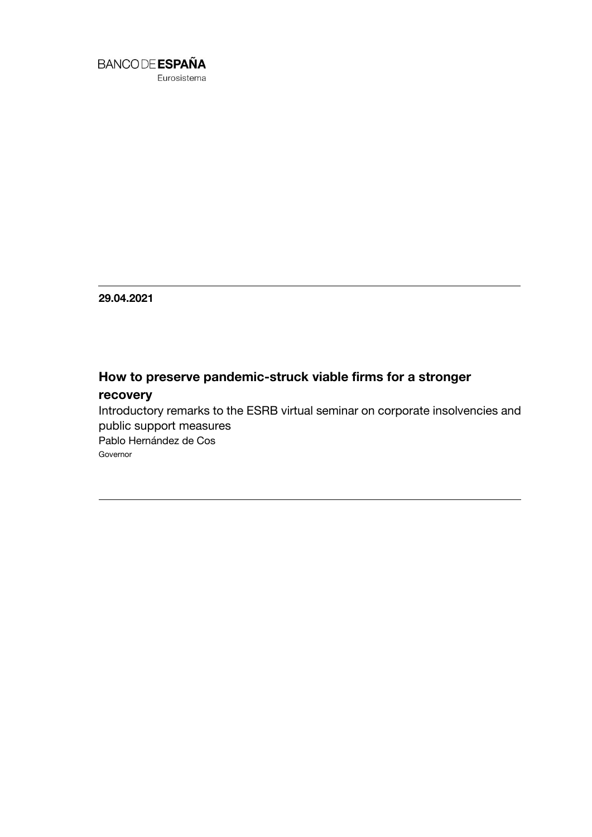

Eurosistema

**29.04.2021**

## **How to preserve pandemic-struck viable firms for a stronger**

## **recovery**

Introductory remarks to the ESRB virtual seminar on corporate insolvencies and public support measures Pablo Hernández de Cos Governor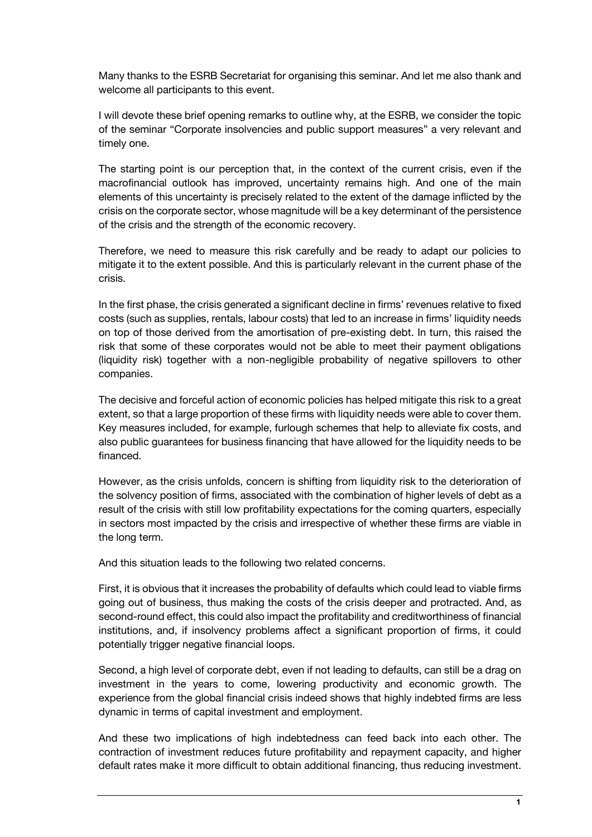Many thanks to the ESRB Secretariat for organising this seminar. And let me also thank and welcome all participants to this event.

I will devote these brief opening remarks to outline why, at the ESRB, we consider the topic of the seminar "Corporate insolvencies and public support measures" a very relevant and timely one.

The starting point is our perception that, in the context of the current crisis, even if the macrofinancial outlook has improved, uncertainty remains high. And one of the main elements of this uncertainty is precisely related to the extent of the damage inflicted by the crisis on the corporate sector, whose magnitude will be a key determinant of the persistence of the crisis and the strength of the economic recovery.

Therefore, we need to measure this risk carefully and be ready to adapt our policies to mitigate it to the extent possible. And this is particularly relevant in the current phase of the crisis.

In the first phase, the crisis generated a significant decline in firms' revenues relative to fixed costs (such as supplies, rentals, labour costs) that led to an increase in firms' liquidity needs on top of those derived from the amortisation of pre-existing debt. In turn, this raised the risk that some of these corporates would not be able to meet their payment obligations (liquidity risk) together with a non-negligible probability of negative spillovers to other companies.

The decisive and forceful action of economic policies has helped mitigate this risk to a great extent, so that a large proportion of these firms with liquidity needs were able to cover them. Key measures included, for example, furlough schemes that help to alleviate fix costs, and also public guarantees for business financing that have allowed for the liquidity needs to be financed.

However, as the crisis unfolds, concern is shifting from liquidity risk to the deterioration of the solvency position of firms, associated with the combination of higher levels of debt as a result of the crisis with still low profitability expectations for the coming quarters, especially in sectors most impacted by the crisis and irrespective of whether these firms are viable in the long term.

And this situation leads to the following two related concerns.

First, it is obvious that it increases the probability of defaults which could lead to viable firms going out of business, thus making the costs of the crisis deeper and protracted. And, as second-round effect, this could also impact the profitability and creditworthiness of financial institutions, and, if insolvency problems affect a significant proportion of firms, it could potentially trigger negative financial loops.

Second, a high level of corporate debt, even if not leading to defaults, can still be a drag on investment in the years to come, lowering productivity and economic growth. The experience from the global financial crisis indeed shows that highly indebted firms are less dynamic in terms of capital investment and employment.

And these two implications of high indebtedness can feed back into each other. The contraction of investment reduces future profitability and repayment capacity, and higher default rates make it more difficult to obtain additional financing, thus reducing investment.